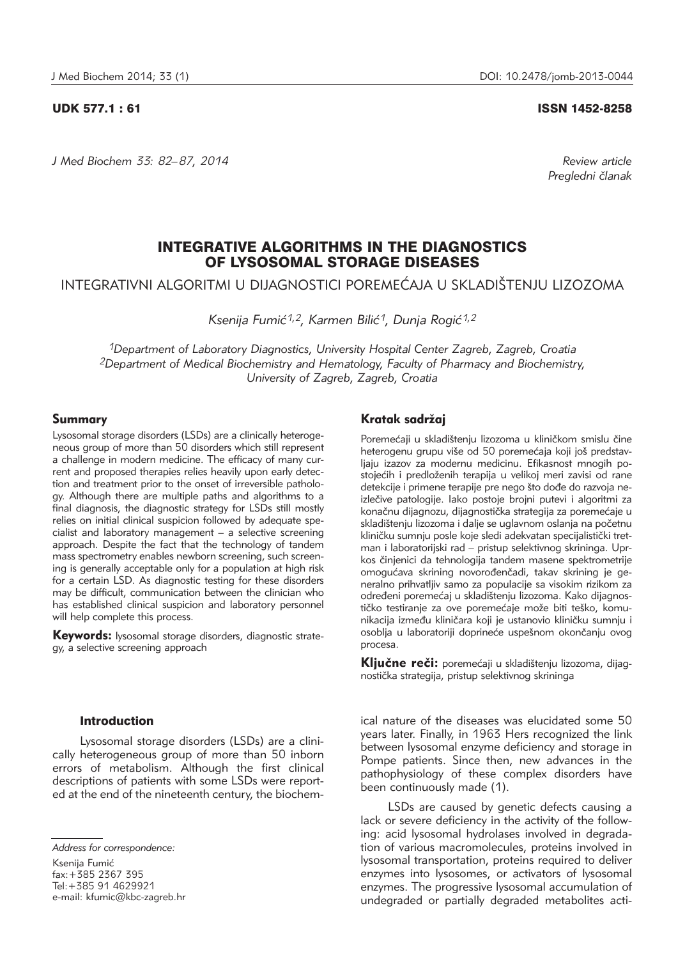*J Med Biochem 33: 82–87, 2014 Review article*

#### UDK 577.1 : 61 ISSN 1452-8258

*Pregledni ~lanak*

# INTEGRATIVE ALGORITHMS IN THE DIAGNOSTICS OF LYSOSOMAL STORAGE DISEASES

INTEGRATIVNI ALGORITMI U DIJAGNOSTICI POREMEĆAJA U SKLADIŠTENJU LIZOZOMA

Ksenija Fumić<sup>1,2</sup>, Karmen Bilić<sup>1</sup>, Dunja Rogić<sup>1,2</sup>

*1Department of Laboratory Diagnostics, University Hospital Center Zagreb, Zagreb, Croatia 2Department of Medical Biochemistry and Hematology, Faculty of Pharmacy and Biochemistry, University of Zagreb, Zagreb, Croatia*

#### Summary

Lysosomal storage disorders (LSDs) are a clinically heterogeneous group of more than 50 disorders which still represent a challenge in modern medicine. The efficacy of many current and proposed therapies relies heavily upon early detection and treatment prior to the onset of irreversible pathology. Although there are multiple paths and algorithms to a final diagnosis, the diagnostic strategy for LSDs still mostly relies on initial clinical suspicion followed by adequate specialist and laboratory management – a selective screening approach. Despite the fact that the technology of tandem mass spectrometry enables newborn screening, such screening is generally acceptable only for a population at high risk for a certain LSD. As diagnostic testing for these disorders may be difficult, communication between the clinician who has established clinical suspicion and laboratory personnel will help complete this process.

Keywords: lysosomal storage disorders, diagnostic strategy, a selective screening approach

#### Introduction

Lysosomal storage disorders (LSDs) are a clinically heterogeneous group of more than 50 inborn errors of metabolism. Although the first clinical descriptions of patients with some LSDs were reported at the end of the nineteenth century, the biochem-

Ksenija Fumić fax:+385 2367 395 Tel:+385 91 4629921 e-mail: kfumic@kbc-zagreb.hr

# Kratak sadržaj

Poremećaji u skladištenju lizozoma u kliničkom smislu čine heterogenu grupu više od 50 poremećaja koji još predstavljaju izazov za modernu medicinu. Efikasnost mnogih postojećih i predloženih terapija u velikoj meri zavisi od rane detekcije i primene terapije pre nego što dođe do razvoja neizlečive patologije. Iako postoje brojni putevi i algoritmi za konačnu dijagnozu, dijagnostička strategija za poremećaje u skladištenju lizozoma i dalje se uglavnom oslanja na početnu kliničku sumnju posle koje sledi adekvatan specijalistički tretman i laboratorijski rad - pristup selektivnog skrininga. Uprkos činjenici da tehnologija tandem masene spektrometrije omogućava skrining novorođenčadi, takav skrining je generalno prihvatljiv samo za populacije sa visokim rizikom za određeni poremećaj u skladištenju lizozoma. Kako dijagnostičko testiranje za ove poremećaje može biti teško, komunikacija između kliničara koji je ustanovio kliničku sumnju i osoblja u laboratoriji doprineće uspešnom okončanju ovog procesa.

Ključne reči: poremećaji u skladištenju lizozoma, dijagnostička strategija, pristup selektivnog skrininga

ical nature of the diseases was elucidated some 50 years later. Finally, in 1963 Hers recognized the link between lysosomal enzyme deficiency and storage in Pompe patients. Since then, new advances in the pathophysiology of these complex disorders have been continuously made (1).

LSDs are caused by genetic defects causing a lack or severe deficiency in the activity of the following: acid lysosomal hydrolases involved in degradation of various macromolecules, proteins involved in lysosomal transportation, proteins required to deliver enzymes into lysosomes, or activators of lysosomal enzymes. The progressive lysosomal accumulation of undegraded or partially degraded metabolites acti-

*Address for correspondence:*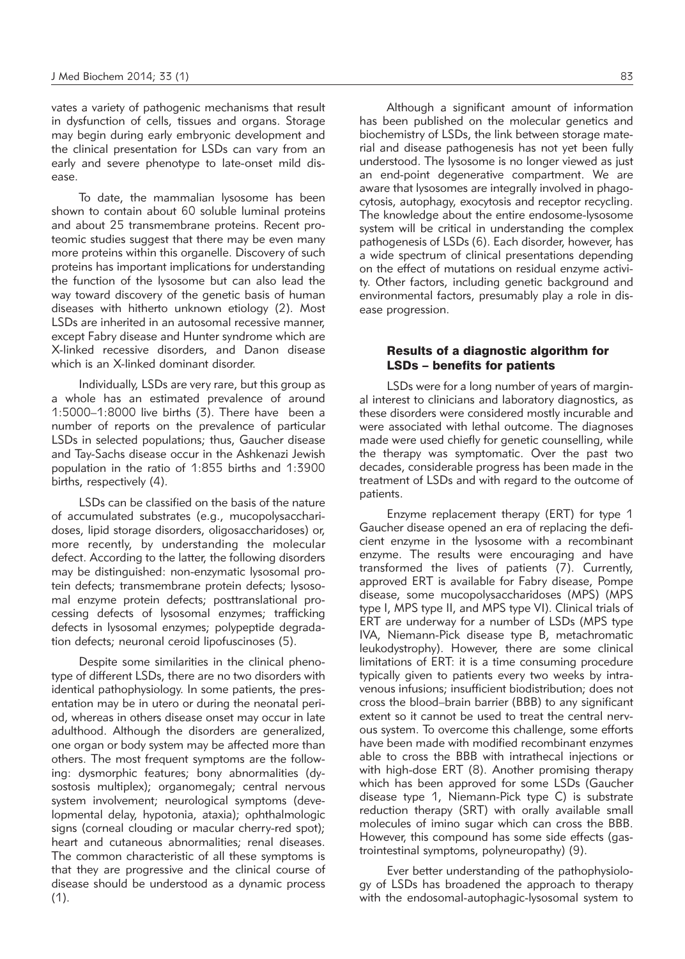vates a variety of pathogenic mechanisms that result in dysfunction of cells, tissues and organs. Storage may begin during early embryonic development and the clinical presentation for LSDs can vary from an early and severe phenotype to late-onset mild disease.

To date, the mammalian lysosome has been shown to contain about 60 soluble luminal proteins and about 25 transmembrane proteins. Recent proteomic studies suggest that there may be even many more proteins within this organelle. Discovery of such proteins has important implications for understanding the function of the lysosome but can also lead the way toward discovery of the genetic basis of human diseases with hitherto unknown etiology (2). Most LSDs are inherited in an autosomal recessive manner, except Fabry disease and Hunter syndrome which are X-linked recessive disorders, and Danon disease which is an X-linked dominant disorder.

Individually, LSDs are very rare, but this group as a whole has an estimated prevalence of around 1:5000–1:8000 live births (3). There have been a number of reports on the prevalence of particular LSDs in selected populations; thus, Gaucher disease and Tay-Sachs disease occur in the Ashkenazi Jewish population in the ratio of 1:855 births and 1:3900 births, respectively (4).

LSDs can be classified on the basis of the nature of accumulated substrates (e.g., mucopolysaccharidoses, lipid storage disorders, oligosaccharidoses) or, more recently, by understanding the molecular defect. According to the latter, the following disorders may be distinguished: non-enzymatic lysosomal protein defects; transmembrane protein defects; lysosomal enzyme protein defects; posttranslational processing defects of lysosomal enzymes; trafficking defects in lysosomal enzymes; polypeptide degradation defects; neuronal ceroid lipofuscinoses (5).

Despite some similarities in the clinical phenotype of different LSDs, there are no two disorders with identical pathophysiology. In some patients, the presentation may be in utero or during the neonatal period, whereas in others disease onset may occur in late adulthood. Although the disorders are generalized, one organ or body system may be affected more than others. The most frequent symptoms are the following: dysmorphic features; bony abnormalities (dysostosis multiplex); organomegaly; central nervous system involvement; neurological symptoms (develop mental delay, hypotonia, ataxia); ophthalmologic signs (corneal clouding or macular cherry-red spot); heart and cutaneous abnormalities; renal diseases. The common characteristic of all these symptoms is that they are progressive and the clinical course of disease should be understood as a dynamic process  $(1).$ 

Although a significant amount of information has been published on the molecular genetics and biochemistry of LSDs, the link between storage material and disease pathogenesis has not yet been fully understood. The lysosome is no longer viewed as just an end-point degenerative compartment. We are aware that lysosomes are integrally involved in phagocytosis, autophagy, exocytosis and receptor recycling. The knowledge about the entire endosome-lysosome system will be critical in understanding the complex pathogenesis of LSDs (6). Each disorder, however, has a wide spectrum of clinical presentations depending on the effect of mutations on residual enzyme activity. Other factors, including genetic background and environmental factors, presumably play a role in disease progression.

#### Results of a diagnostic algorithm for LSDs – benefits for patients

LSDs were for a long number of years of marginal interest to clinicians and laboratory diagnostics, as these disorders were considered mostly incurable and were associated with lethal outcome. The diagnoses made were used chiefly for genetic counselling, while the therapy was symptomatic. Over the past two decades, considerable progress has been made in the treatment of LSDs and with regard to the outcome of patients.

Enzyme replacement therapy (ERT) for type 1 Gaucher disease opened an era of replacing the deficient enzyme in the lysosome with a recombinant enzyme. The results were encouraging and have transformed the lives of patients (7). Currently, approved ERT is available for Fabry disease, Pompe disease, some mucopolysaccharidoses (MPS) (MPS type I, MPS type II, and MPS type VI). Clinical trials of ERT are underway for a number of LSDs (MPS type IVA, Niemann-Pick disease type B, metachromatic leukodystrophy). However, there are some clinical limitations of ERT: it is a time consuming procedure typically given to patients every two weeks by intravenous infusions; insufficient biodistribution; does not cross the blood–brain barrier (BBB) to any significant extent so it cannot be used to treat the central nervous system. To overcome this challenge, some efforts have been made with modified recombinant enzymes able to cross the BBB with intrathecal injections or with high-dose ERT (8). Another promising therapy which has been approved for some LSDs (Gaucher disease type 1, Niemann-Pick type C) is substrate reduction therapy (SRT) with orally available small molecules of imino sugar which can cross the BBB. However, this compound has some side effects (gastrointestinal symptoms, polyneuropathy) (9).

Ever better understanding of the pathophysiology of LSDs has broadened the approach to therapy with the endosomal-autophagic-lysosomal system to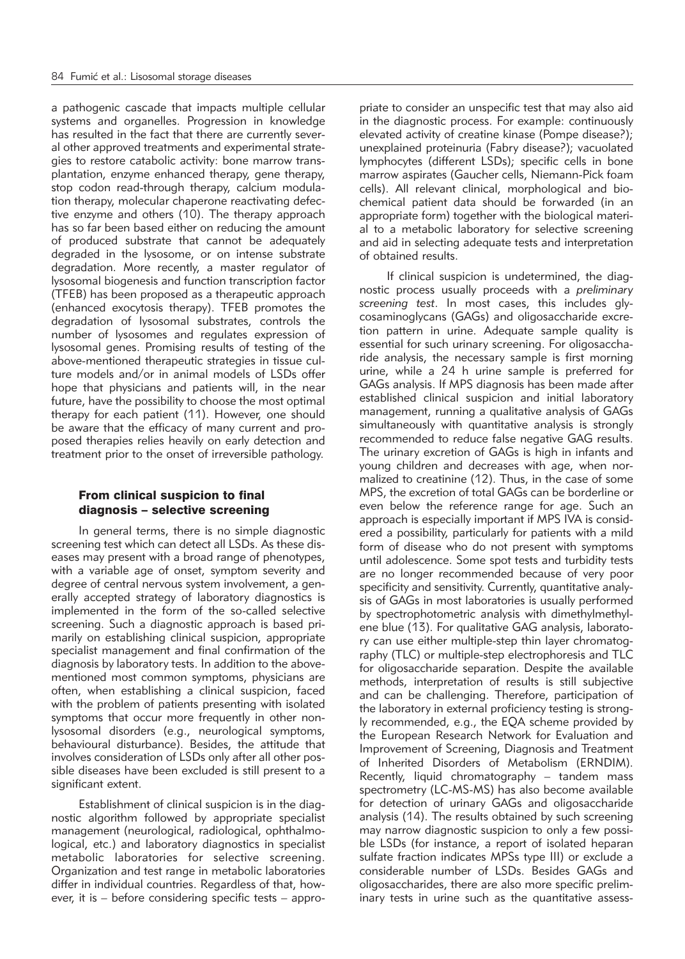a pathogenic cascade that impacts multiple cellular systems and organelles. Progression in knowledge has resulted in the fact that there are currently several other approved treatments and experimental strategies to restore catabolic activity: bone marrow transplantation, enzyme enhanced therapy, gene therapy, stop codon read-through therapy, calcium modulation therapy, molecular chaperone reactivating defective enzyme and others (10). The therapy approach has so far been based either on reducing the amount of produced substrate that cannot be adequately degraded in the lysosome, or on intense substrate degradation. More recently, a master regulator of lysosomal biogenesis and function transcription factor (TFEB) has been proposed as a therapeutic approach (enhanced exocytosis therapy). TFEB promotes the degradation of lysosomal substrates, controls the number of lysosomes and regulates expression of lysosomal genes. Promising results of testing of the above-mentioned therapeutic strategies in tissue culture models and/or in animal models of LSDs offer hope that physicians and patients will, in the near future, have the possibility to choose the most optimal therapy for each patient (11). However, one should be aware that the efficacy of many current and proposed therapies relies heavily on early detection and treatment prior to the onset of irreversible pathology.

### From clinical suspicion to final diagnosis – selective screening

In general terms, there is no simple diagnostic screening test which can detect all LSDs. As these diseases may present with a broad range of phenotypes, with a variable age of onset, symptom severity and degree of central nervous system involvement, a generally accepted strategy of laboratory diagnostics is implemented in the form of the so-called selective screening. Such a diagnostic approach is based primarily on establishing clinical suspicion, appropriate specialist management and final confirmation of the diagnosis by laboratory tests. In addition to the abovementioned most common symptoms, physicians are often, when establishing a clinical suspicion, faced with the problem of patients presenting with isolated symptoms that occur more frequently in other nonlysosomal disorders (e.g., neurological symptoms, behavioural disturbance). Besides, the attitude that involves consideration of LSDs only after all other possible diseases have been excluded is still present to a significant extent.

Establishment of clinical suspicion is in the diagnostic algorithm followed by appropriate specialist management (neurological, radiological, ophthalmological, etc.) and laboratory diagnostics in specialist metabolic laboratories for selective screening. Organization and test range in metabolic laboratories differ in individual countries. Regardless of that, however, it is – before considering specific tests – appropriate to consider an unspecific test that may also aid in the diagnostic process. For example: continuously elevated activity of creatine kinase (Pompe disease?); unexplained proteinuria (Fabry disease?); vacuolated lymphocytes (different LSDs); specific cells in bone marrow aspirates (Gaucher cells, Niemann-Pick foam cells). All relevant clinical, morphological and biochemical patient data should be forwarded (in an appropriate form) together with the biological material to a metabolic laboratory for selective screening and aid in selecting adequate tests and interpretation of obtained results.

If clinical suspicion is undetermined, the diagnostic process usually proceeds with a *preliminary screening test*. In most cases, this includes glycosaminoglycans (GAGs) and oligosaccharide excretion pattern in urine. Adequate sample quality is essential for such urinary screening. For oligosaccharide analysis, the necessary sample is first morning urine, while a 24 h urine sample is preferred for GAGs analysis. If MPS diagnosis has been made after established clinical suspicion and initial laboratory management, running a qualitative analysis of GAGs simultaneously with quantitative analysis is strongly recommended to reduce false negative GAG results. The urinary excretion of GAGs is high in infants and young children and decreases with age, when normalized to creatinine (12). Thus, in the case of some MPS, the excretion of total GAGs can be borderline or even below the reference range for age. Such an approach is especially important if MPS IVA is considered a possibility, particularly for patients with a mild form of disease who do not present with symptoms until adolescence. Some spot tests and turbidity tests are no longer recommended because of very poor specificity and sensitivity. Currently, quantitative analysis of GAGs in most laboratories is usually performed by spectrophotometric analysis with dimethylmethylene blue (13). For qualitative GAG analysis, laboratory can use either multiple-step thin layer chromatography (TLC) or multiple-step electrophoresis and TLC for oligosaccharide separation. Despite the available methods, interpretation of results is still subjective and can be challenging. Therefore, participation of the laboratory in external proficiency testing is strongly recommended, e.g., the EQA scheme provided by the European Research Network for Evaluation and Improvement of Screening, Diagnosis and Treatment of Inherited Disorders of Metabolism (ERNDIM). Recently, liquid chromatography – tandem mass spectrometry (LC-MS-MS) has also become available for detection of urinary GAGs and oligosaccharide analysis (14). The results obtained by such screening may narrow diagnostic suspicion to only a few possible LSDs (for instance, a report of isolated heparan sulfate fraction indicates MPSs type III) or exclude a considerable number of LSDs. Besides GAGs and oligosaccharides, there are also more specific preliminary tests in urine such as the quantitative assess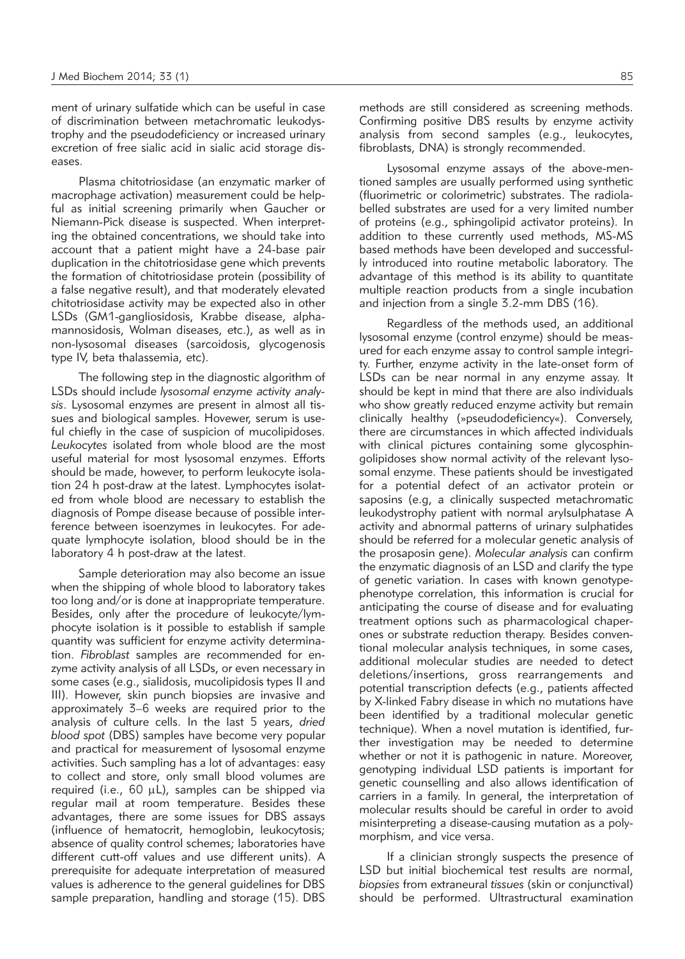ment of urinary sulfatide which can be useful in case of discrimination between metachromatic leukodystrophy and the pseudodeficiency or increased urinary excretion of free sialic acid in sialic acid storage diseases.

Plasma chitotriosidase (an enzymatic marker of macrophage activation) measurement could be helpful as initial screening primarily when Gaucher or Niemann-Pick disease is suspected. When interpreting the obtained concentrations, we should take into account that a patient might have a 24-base pair duplication in the chitotriosidase gene which prevents the formation of chitotriosidase protein (possibility of a false negative result), and that moderately elevated chitotriosidase activity may be expected also in other LSDs (GM1-gangliosidosis, Krabbe disease, alphamannosidosis, Wolman diseases, etc.), as well as in non-lysosomal diseases (sarcoidosis, glycogenosis type IV, beta thalassemia, etc).

The following step in the diagnostic algorithm of LSDs should include *lysosomal enzyme activity analysis*. Lysosomal enzymes are present in almost all tissues and biological samples. Hovewer, serum is useful chiefly in the case of suspicion of mucolipidoses. *Leukocytes* isolated from whole blood are the most useful material for most lysosomal enzymes. Efforts should be made, however, to perform leukocyte isolation 24 h post-draw at the latest. Lymphocytes isolated from whole blood are necessary to establish the diagnosis of Pompe disease because of possible interference between isoenzymes in leukocytes. For adequate lymphocyte isolation, blood should be in the laboratory 4 h post-draw at the latest.

Sample deterioration may also become an issue when the shipping of whole blood to laboratory takes too long and/or is done at inappropriate temperature. Besides, only after the procedure of leukocyte/lymphocyte isolation is it possible to establish if sample quantity was sufficient for enzyme activity determination. Fibroblast samples are recommended for enzyme activity analysis of all LSDs, or even necessary in some cases (e.g., sialidosis, mucolipidosis types II and III). However, skin punch biopsies are invasive and approximately 3–6 weeks are required prior to the analysis of culture cells. In the last 5 years, *dried blood spot* (DBS) samples have become very popular and practical for measurement of lysosomal enzyme activities. Such sampling has a lot of advantages: easy to collect and store, only small blood volumes are required (i.e.,  $60 \mu L$ ), samples can be shipped via regular mail at room temperature. Besides these advantages, there are some issues for DBS assays (influence of hematocrit, hemoglobin, leukocytosis; absence of quality control schemes; laboratories have different cutt-off values and use different units). A prerequisite for adequate interpretation of measured values is adherence to the general guidelines for DBS sample preparation, handling and storage (15). DBS

methods are still considered as screening methods. Confirming positive DBS results by enzyme activity analysis from second samples (e.g., leukocytes, fibroblasts, DNA) is strongly recommended.

Lysosomal enzyme assays of the above-mentioned samples are usually performed using synthetic (fluorimetric or colorimetric) substrates. The radiolabelled substrates are used for a very limited number of proteins (e.g., sphingolipid activator proteins). In addition to these currently used methods, MS-MS based methods have been developed and successfully introduced into routine metabolic laboratory. The advantage of this method is its ability to quantitate multiple reaction products from a single incubation and injection from a single 3.2-mm DBS (16).

Regardless of the methods used, an additional lysosomal enzyme (control enzyme) should be measured for each enzyme assay to control sample integrity. Further, enzyme activity in the late-onset form of LSDs can be near normal in any enzyme assay. It should be kept in mind that there are also individuals who show greatly reduced enzyme activity but remain clinically healthy (»pseudodeficiency«). Conversely, there are circumstances in which affected individuals with clinical pictures containing some glycosphingolipidoses show normal activity of the relevant lysosomal enzyme. These patients should be investigated for a potential defect of an activator protein or saposins (e.g, a clinically suspected metachromatic leukodystrophy patient with normal arylsulphatase A activity and abnormal patterns of urinary sulphatides should be referred for a molecular genetic analysis of the prosaposin gene). *Molecular analysis* can confirm the enzymatic diagnosis of an LSD and clarify the type of genetic variation. In cases with known genotypephenotype correlation, this information is crucial for anticipating the course of disease and for evaluating treatment options such as pharmacological chaperones or substrate reduction therapy. Besides conventional molecular analysis techniques, in some cases, additional molecular studies are needed to detect deletions/insertions, gross rearrangements and potential transcription defects (e.g., patients affected by X-linked Fabry disease in which no mutations have been identified by a traditional molecular genetic technique). When a novel mutation is identified, further investigation may be needed to determine whether or not it is pathogenic in nature. Moreover, genotyping individual LSD patients is important for genetic counselling and also allows identification of carriers in a family. In general, the interpretation of molecular results should be careful in order to avoid misinterpreting a disease-causing mutation as a polymorphism, and vice versa.

If a clinician strongly suspects the presence of LSD but initial biochemical test results are normal, *biopsies* from extraneural *tissues* (skin or conjunctival) should be performed. Ultrastructural examination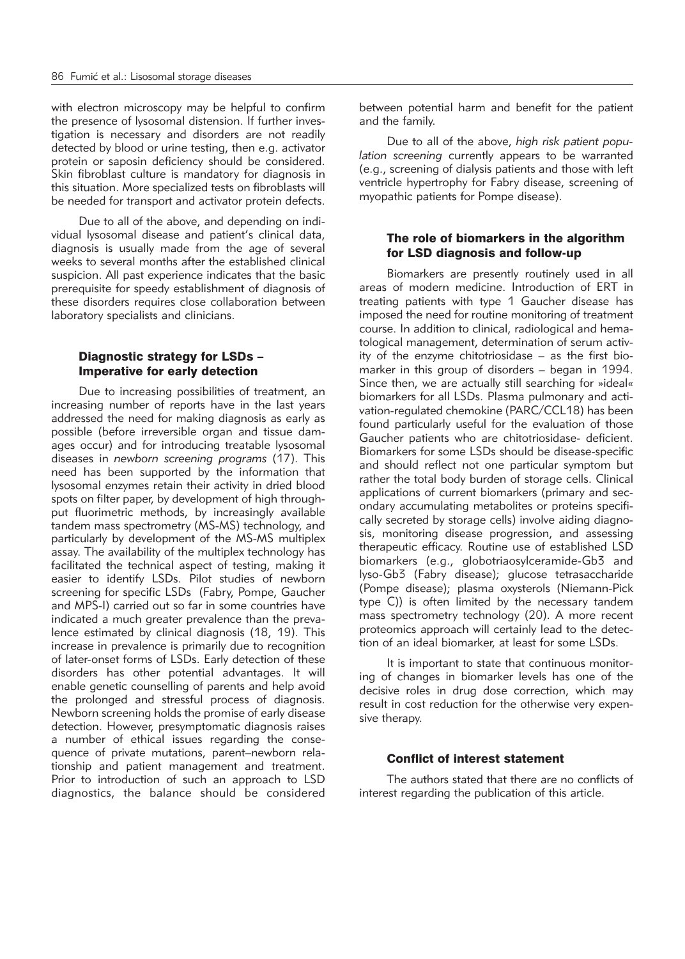with electron microscopy may be helpful to confirm the presence of lysosomal distension. If further investigation is necessary and disorders are not readily detected by blood or urine testing, then e.g. activator protein or saposin deficiency should be considered. Skin fibroblast culture is mandatory for diagnosis in this situation. More specialized tests on fibroblasts will be needed for transport and activator protein defects.

Due to all of the above, and depending on individual lysosomal disease and patient's clinical data, diagnosis is usually made from the age of several weeks to several months after the established clinical suspicion. All past experience indicates that the basic prerequisite for speedy establishment of diagnosis of these disorders requires close collaboration between laboratory specialists and clinicians.

### Diagnostic strategy for LSDs – Imperative for early detection

Due to increasing possibilities of treatment, an increasing number of reports have in the last years addressed the need for making diagnosis as early as possible (before irreversible organ and tissue damages occur) and for introducing treatable lysosomal diseases in *newborn screening programs* (17). This need has been supported by the information that lysosomal enzymes retain their activity in dried blood spots on filter paper, by development of high throughput fluorimetric methods, by increasingly available tandem mass spectrometry (MS-MS) technology, and particularly by development of the MS-MS multiplex assay. The availability of the multiplex technology has facilitated the technical aspect of testing, making it easier to identify LSDs. Pilot studies of newborn screening for specific LSDs (Fabry, Pompe, Gaucher and MPS-I) carried out so far in some countries have indicated a much greater prevalence than the prevalence estimated by clinical diagnosis (18, 19). This increase in prevalence is primarily due to recognition of later-onset forms of LSDs. Early detection of these disorders has other potential advantages. It will enable genetic counselling of parents and help avoid the prolonged and stressful process of diagnosis. Newborn screening holds the promise of early disease detection. However, presymptomatic diagnosis raises a number of ethical issues regarding the consequence of private mutations, parent–newborn relationship and patient management and treatment. Prior to introduction of such an approach to LSD diagnostics, the balance should be considered

between potential harm and benefit for the patient and the family.

Due to all of the above, high risk patient popu*lation screening* currently appears to be warranted (e.g., screening of dialysis patients and those with left ventricle hypertrophy for Fabry disease, screening of myopathic patients for Pompe disease).

## The role of biomarkers in the algorithm for LSD diagnosis and follow-up

Biomarkers are presently routinely used in all areas of modern medicine. Introduction of ERT in treating patients with type 1 Gaucher disease has imposed the need for routine monitoring of treatment course. In addition to clinical, radiological and hematological management, determination of serum activity of the enzyme chitotriosidase – as the first biomarker in this group of disorders – began in 1994. Since then, we are actually still searching for »ideal« biomarkers for all LSDs. Plasma pulmonary and activation-regulated chemokine (PARC/CCL18) has been found particularly useful for the evaluation of those Gaucher patients who are chitotriosidase- deficient. Biomarkers for some LSDs should be disease-specific and should reflect not one particular symptom but rather the total body burden of storage cells. Clinical applications of current biomarkers (primary and secondary accumulating metabolites or proteins specifically secreted by storage cells) involve aiding diagnosis, monitoring disease progression, and assessing therapeutic efficacy. Routine use of established LSD biomarkers (e.g., globotriaosylceramide-Gb3 and lyso-Gb3 (Fabry disease); glucose tetrasaccharide (Pompe disease); plasma oxysterols (Niemann-Pick type C)) is often limited by the necessary tandem mass spectrometry technology (20). A more recent proteomics approach will certainly lead to the detection of an ideal biomarker, at least for some LSDs.

It is important to state that continuous monitoring of changes in biomarker levels has one of the decisive roles in drug dose correction, which may result in cost reduction for the otherwise very expensive therapy.

#### Conflict of interest statement

The authors stated that there are no conflicts of interest regarding the publication of this article.